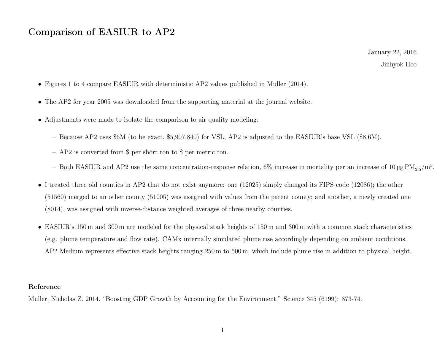## Comparison of EASIUR to AP2

January 22, 2016 Jinhyok Heo

- Figures 1 to 4 compare EASIUR with deterministic AP2 values published in Muller (2014).
- The AP2 for year 2005 was downloaded from the supporting material at the journal website.
- Adjustments were made to isolate the comparison to air quality modeling:
	- Because AP2 uses \$6M (to be exact, \$5,907,840) for VSL, AP2 is adjusted to the EASIUR's base VSL (\$8.6M).
	- AP2 is converted from \$ per short ton to \$ per metric ton.
	- Both EASIUR and AP2 use the same concentration-response relation, 6% increase in mortality per an increase of  $10 \,\text{\upmu g}\,\text{PM}_{2.5}/\text{m}^3$ .
- I treated three old counties in AP2 that do not exist anymore: one (12025) simply changed its FIPS code (12086); the other (51560) merged to an other county (51005) was assigned with values from the parent county; and another, a newly created one (8014), was assigned with inverse-distance weighted averages of three nearby counties.
- EASIUR's 150 m and 300 m are modeled for the physical stack heights of 150 m and 300 m with a common stack characteristics (e.g. plume temperature and flow rate). CAMx internally simulated plume rise accordingly depending on ambient conditions. AP2 Medium represents effective stack heights ranging 250 m to 500 m, which include plume rise in addition to physical height.

## Reference

Muller, Nicholas Z. 2014. "Boosting GDP Growth by Accounting for the Environment." Science 345 (6199): 873-74.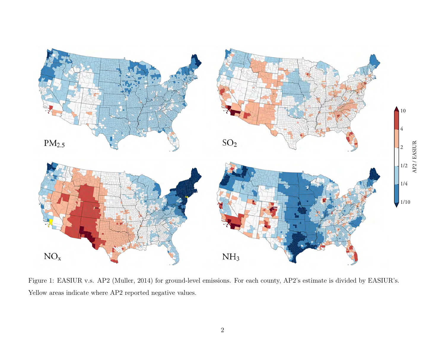

Figure 1: EASIUR v.s. AP2 (Muller, 2014) for ground-level emissions. For each county, AP2's estimate is divided by EASIUR's. Yellow areas indicate where AP2 reported negative values.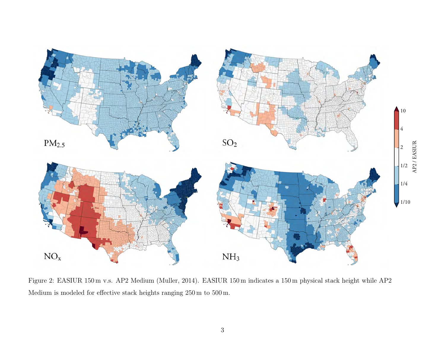

Figure 2: EASIUR 150 m v.s. AP2 Medium (Muller, 2014). EASIUR 150 m indicates a 150 m physical stack height while AP2 Medium is modeled for effective stack heights ranging 250 m to 500 m.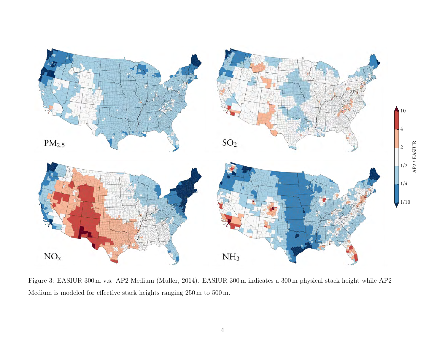

Figure 3: EASIUR 300 m v.s. AP2 Medium (Muller, 2014). EASIUR 300 m indicates a 300 m physical stack height while AP2 Medium is modeled for effective stack heights ranging 250 m to 500 m.